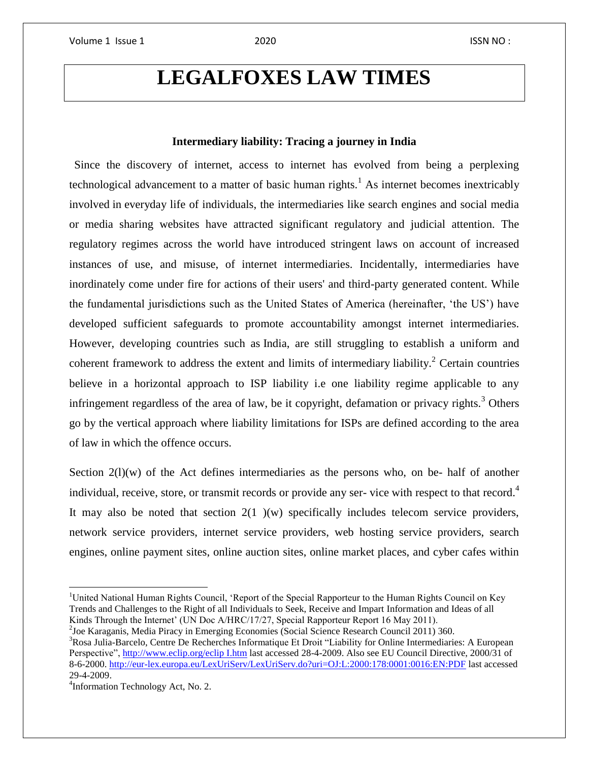## **LEGALFOXES LAW TIMES**

## **Intermediary liability: Tracing a journey in India**

Since the discovery of internet, access to internet has evolved from being a perplexing technological advancement to a matter of basic human rights.<sup>1</sup> As internet becomes inextricably involved in everyday life of individuals, the intermediaries like search engines and social media or media sharing websites have attracted significant regulatory and judicial attention. The regulatory regimes across the world have introduced stringent laws on account of increased instances of use, and misuse, of internet intermediaries. Incidentally, intermediaries have inordinately come under fire for actions of their users' and third-party generated content. While the fundamental jurisdictions such as the United States of America (hereinafter, 'the US') have developed sufficient safeguards to promote accountability amongst internet intermediaries. However, developing countries such as India, are still struggling to establish a uniform and coherent framework to address the extent and limits of intermediary liability.<sup>2</sup> Certain countries believe in a horizontal approach to ISP liability i.e one liability regime applicable to any infringement regardless of the area of law, be it copyright, defamation or privacy rights.<sup>3</sup> Others go by the vertical approach where liability limitations for ISPs are defined according to the area of law in which the offence occurs."

Section  $2(1)(w)$  of the Act defines intermediaries as the persons who, on be- half of another individual, receive, store, or transmit records or provide any ser-vice with respect to that record.<sup>4</sup> It may also be noted that section  $2(1)(w)$  specifically includes telecom service providers, network service providers, internet service providers, web hosting service providers, search engines, online payment sites, online auction sites, online market places, and cyber cafes within

2 Joe Karaganis, Media Piracy in Emerging Economies (Social Science Research Council 2011) 360. <sup>3</sup>Rosa Julia-Barcelo, Centre De Recherches Informatique Et Droit "Liability for Online Intermediaries: A European Perspective", [http://www.eclip.org/eclip I.htm](http://www.eclip.org/eclip%20I.htm) last accessed 28-4-2009. Also see EU Council Directive, 2000/31 of 8-6-2000. <http://eur-lex.europa.eu/LexUriServ/LexUriServ.do?uri=OJ:L:2000:178:0001:0016:EN:PDF> last accessed 29-4-2009.

<sup>4</sup>Information Technology Act, No. 2.

 $\overline{\phantom{a}}$ 

<sup>&</sup>lt;sup>1</sup>United National Human Rights Council, 'Report of the Special Rapporteur to the Human Rights Council on Key Trends and Challenges to the Right of all Individuals to Seek, Receive and Impart Information and Ideas of all Kinds Through the Internet' (UN Doc A/HRC/17/27, Special Rapporteur Report 16 May 2011).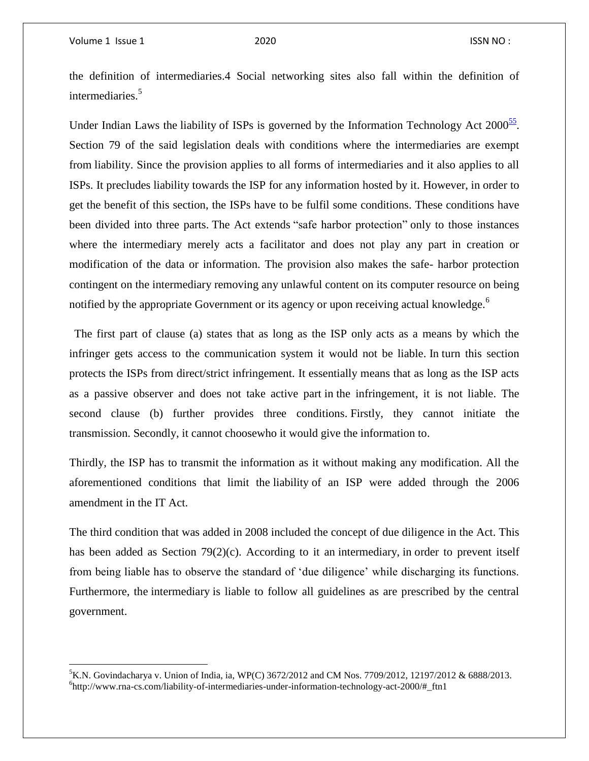$\overline{\phantom{a}}$ 

the definition of intermediaries.4 Social networking sites also fall within the definition of intermediaries.<sup>5</sup>

Under Indian Laws the liability of ISPs is governed by the Information Technology Act  $2000^{\frac{55}{}}$  $2000^{\frac{55}{}}$  $2000^{\frac{55}{}}$ . Section 79 of the said legislation deals with conditions where the intermediaries are exempt from liability. Since the provision applies to all forms of intermediaries and it also applies to all ISPs. It precludes liability towards the ISP for any information hosted by it. However, in order to get the benefit of this section, the ISPs have to be fulfil some conditions. These conditions have been divided into three parts. The Act extends "safe harbor protection" only to those instances where the intermediary merely acts a facilitator and does not play any part in creation or modification of the data or information. The provision also makes the safe- harbor protection contingent on the intermediary removing any unlawful content on its computer resource on being notified by the appropriate Government or its agency or upon receiving actual knowledge.<sup>6</sup>

The first part of clause (a) states that as long as the ISP only acts as a means by which the infringer gets access to the communication system it would not be liable. In turn this section protects the ISPs from direct/strict infringement. It essentially means that as long as the ISP acts as a passive observer and does not take active part in the infringement, it is not liable. The second clause (b) further provides three conditions. Firstly, they cannot initiate the transmission. Secondly, it cannot choosewho it would give the information to."

Thirdly, the ISP has to transmit the information as it without making any modification. All the aforementioned conditions that limit the liability of an ISP were added through the 2006 amendment in the IT Act.

The third condition that was added in 2008 included the concept of due diligence in the Act. This has been added as Section 79(2)(c). According to it an intermediary, in order to prevent itself from being liable has to observe the standard of 'due diligence' while discharging its functions. Furthermore, the intermediary is liable to follow all guidelines as are prescribed by the central government.

<sup>&</sup>lt;sup>5</sup>K.N. Govindacharya v. Union of India, ia, WP(C) 3672/2012 and CM Nos. 7709/2012, 12197/2012 & 6888/2013. 6 http://www.rna-cs.com/liability-of-intermediaries-under-information-technology-act-2000/#\_ftn1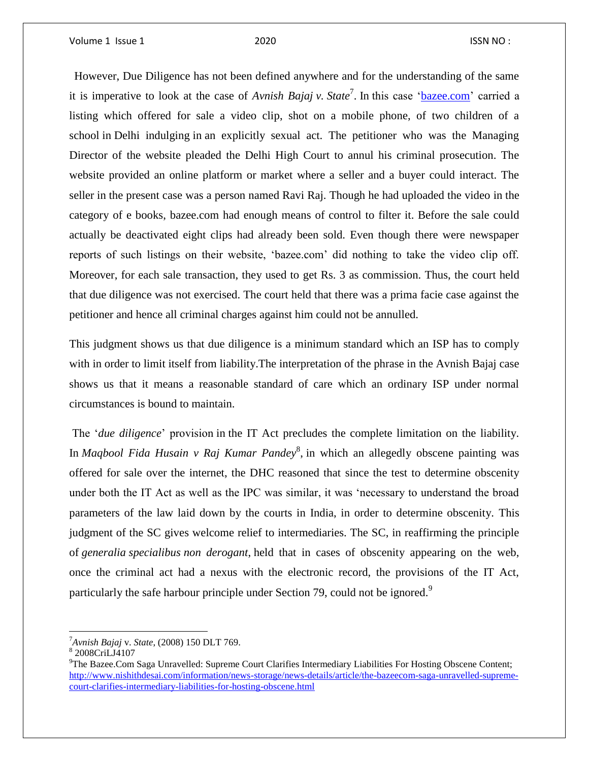"However, Due Diligence has not been defined anywhere and for the understanding of the same it is imperative to look at the case of *Avnish Bajaj v. State*<sup>7</sup> . In this case ['bazee.com'](http://bazee.com/) carried a listing which offered for sale a video clip, shot on a mobile phone, of two children of a school in Delhi indulging in an explicitly sexual act. The petitioner who was the Managing Director of the website pleaded the Delhi High Court to annul his criminal prosecution. The website provided an online platform or market where a seller and a buyer could interact. The seller in the present case was a person named Ravi Raj. Though he had uploaded the video in the category of e books, bazee.com had enough means of control to filter it. Before the sale could actually be deactivated eight clips had already been sold. Even though there were newspaper reports of such listings on their website, 'bazee.com' did nothing to take the video clip off. Moreover, for each sale transaction, they used to get Rs. 3 as commission. Thus, the court held that due diligence was not exercised. The court held that there was a prima facie case against the petitioner and hence all criminal charges against him could not be annulled.

This judgment shows us that due diligence is a minimum standard which an ISP has to comply with in order to limit itself from liability.The interpretation of the phrase in the Avnish Bajaj case shows us that it means a reasonable standard of care which an ordinary ISP under normal circumstances is bound to maintain.

The '*due diligence*' provision in the IT Act precludes the complete limitation on the liability. In *Maqbool Fida Husain v Raj Kumar Pandey*<sup>8</sup> , in which an allegedly obscene painting was offered for sale over the internet, the DHC reasoned that since the test to determine obscenity under both the IT Act as well as the IPC was similar, it was 'necessary to understand the broad parameters of the law laid down by the courts in India, in order to determine obscenity. This judgment of the SC gives welcome relief to intermediaries. The SC, in reaffirming the principle of *generalia specialibus non derogant*, held that in cases of obscenity appearing on the web, once the criminal act had a nexus with the electronic record, the provisions of the IT Act, particularly the safe harbour principle under Section 79, could not be ignored.<sup>9</sup>

 $\overline{a}$ 

<sup>7</sup>*Avnish Bajaj* v. *State*, (2008) 150 DLT 769.

<sup>8</sup> 2008CriLJ4107

<sup>&</sup>lt;sup>9</sup>The Bazee.Com Saga Unravelled: Supreme Court Clarifies Intermediary Liabilities For Hosting Obscene Content; [http://www.nishithdesai.com/information/news-storage/news-details/article/the-bazeecom-saga-unravelled-supreme](http://www.nishithdesai.com/information/news-storage/news-details/article/the-bazeecom-saga-unravelled-supreme-court-clarifies-intermediary-liabilities-for-hosting-obscene.html)[court-clarifies-intermediary-liabilities-for-hosting-obscene.html](http://www.nishithdesai.com/information/news-storage/news-details/article/the-bazeecom-saga-unravelled-supreme-court-clarifies-intermediary-liabilities-for-hosting-obscene.html)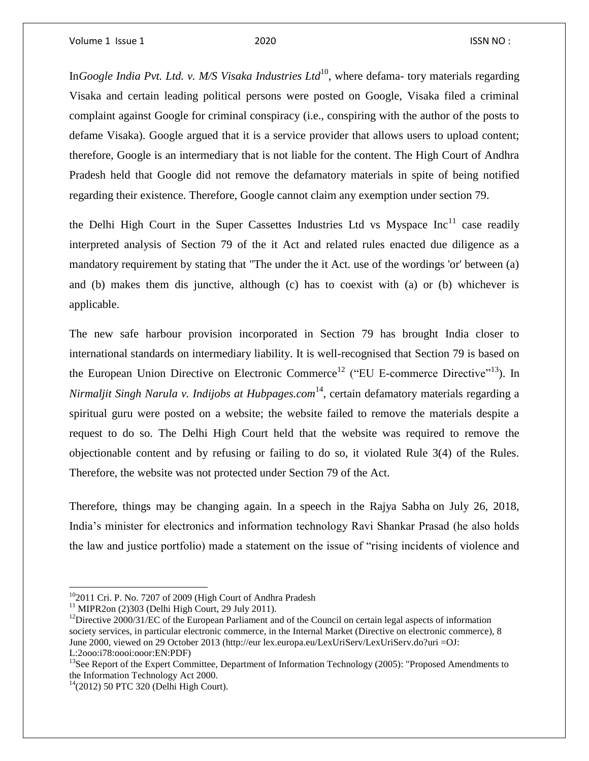In*Google India Pvt. Ltd. v. M/S Visaka Industries Ltd*<sup>10</sup>, where defama- tory materials regarding Visaka and certain leading political persons were posted on Google, Visaka filed a criminal complaint against Google for criminal conspiracy (i.e., conspiring with the author of the posts to defame Visaka). Google argued that it is a service provider that allows users to upload content; therefore, Google is an intermediary that is not liable for the content. The High Court of Andhra Pradesh held that Google did not remove the defamatory materials in spite of being notified regarding their existence. Therefore, Google cannot claim any exemption under section 79.

the Delhi High Court in the Super Cassettes Industries Ltd vs Myspace  $Inc<sup>11</sup>$  case readily interpreted analysis of Section 79 of the it Act and related rules enacted due diligence as a mandatory requirement by stating that "The under the it Act. use of the wordings 'or' between (a) and (b) makes them dis junctive, although (c) has to coexist with (a) or (b) whichever is applicable.

The new safe harbour provision incorporated in Section 79 has brought India closer to international standards on intermediary liability. It is well-recognised that Section 79 is based on the European Union Directive on Electronic Commerce<sup>12</sup> ("EU E-commerce Directive"<sup>13</sup>). In *Nirmaljit Singh Narula v. Indijobs at Hubpages.com*<sup>14</sup>, certain defamatory materials regarding a spiritual guru were posted on a website; the website failed to remove the materials despite a request to do so. The Delhi High Court held that the website was required to remove the objectionable content and by refusing or failing to do so, it violated Rule 3(4) of the Rules. Therefore, the website was not protected under Section 79 of the Act.

Therefore, things may be changing again. In a speech in the Rajya Sabha on July 26, 2018, India's minister for electronics and information technology Ravi Shankar Prasad (he also holds the law and justice portfolio) made a statement on the issue of "rising incidents of violence and

 $\overline{\phantom{a}}$ 

<sup>&</sup>lt;sup>10</sup>2011 Cri. P. No. 7207 of 2009 (High Court of Andhra Pradesh

 $11$  MIPR2on (2)303 (Delhi High Court, 29 July 2011).

<sup>&</sup>lt;sup>12</sup>Directive 2000/31/EC of the European Parliament and of the Council on certain legal aspects of information society services, in particular electronic commerce, in the Internal Market (Directive on electronic commerce), 8 June 2000, viewed on 29 October 2013 (http://eur lex.europa.eu/LexUriServ/LexUriServ.do?uri =OJ: L:2ooo:i78:oooi:ooor:EN:PDF)

<sup>&</sup>lt;sup>13</sup>See Report of the Expert Committee, Department of Information Technology (2005): "Proposed Amendments to the Information Technology Act 2000.

 $14(2012)$  50 PTC 320 (Delhi High Court).